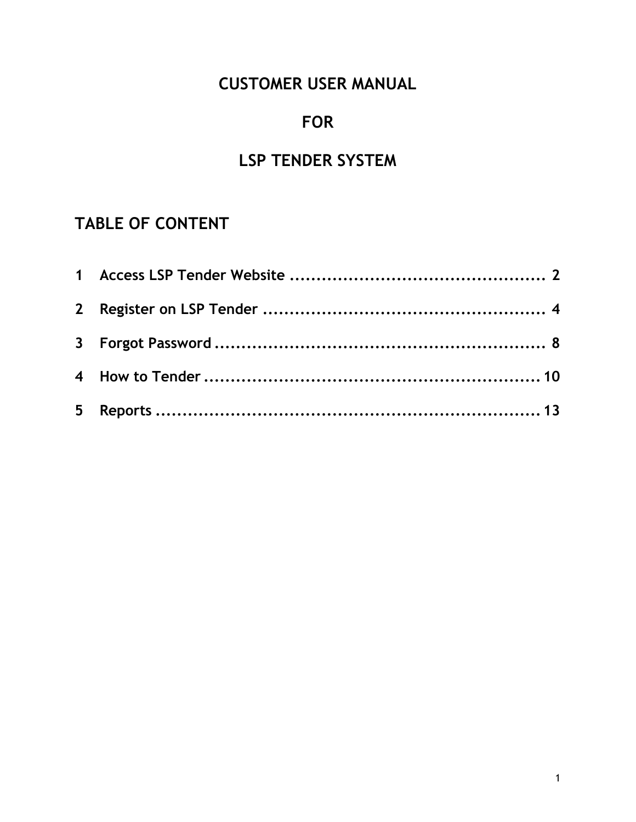# CUSTOMER USER MANUAL

# FOR

# LSP TENDER SYSTEM

# TABLE OF CONTENT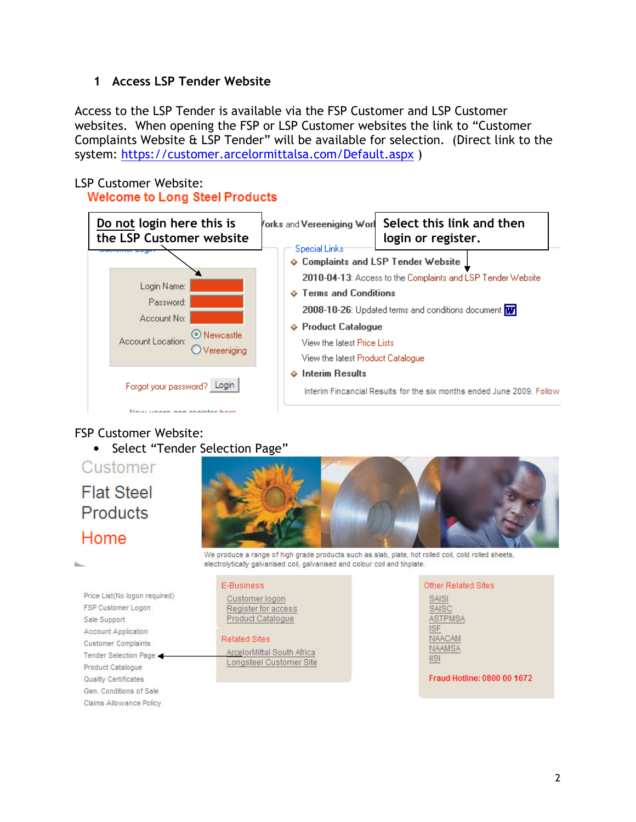### 1 Access LSP Tender Website

Access to the LSP Tender is available via the FSP Customer and LSP Customer websites. When opening the FSP or LSP Customer websites the link to "Customer Complaints Website & LSP Tender" will be available for selection. (Direct link to the system: https://customer.arcelormittalsa.com/Default.aspx )

## LSP Customer Website:

**Welcome to Long Steel Products** 



#### FSP Customer Website:

• Select "Tender Selection Page"

# Customer **Flat Steel Products** Home



Price List(No logon required) FSP Customer Logon Sale Support **Account Application Customer Complaints** Tender Selection Page Product Catalogue Quality Certificates Gen. Conditions of Sale Claims Allowance Policy

We produce a range of high grade products such as slab, plate, hot rolled coil, cold rolled sheets, electrolytically galvanised coil, galvanised and colour coil and tinplate.

#### E-Business

Customer logon Register for access Product Catalogue

#### **Related Sites**

ArcelorMittal South Africa Longsteel Customer Site Other Related Sites SAISI SAISC **ASTPMSA ISF** NAACAM **NAAMSA**  $\|S\|$ 

Fraud Hotline: 0800 00 1672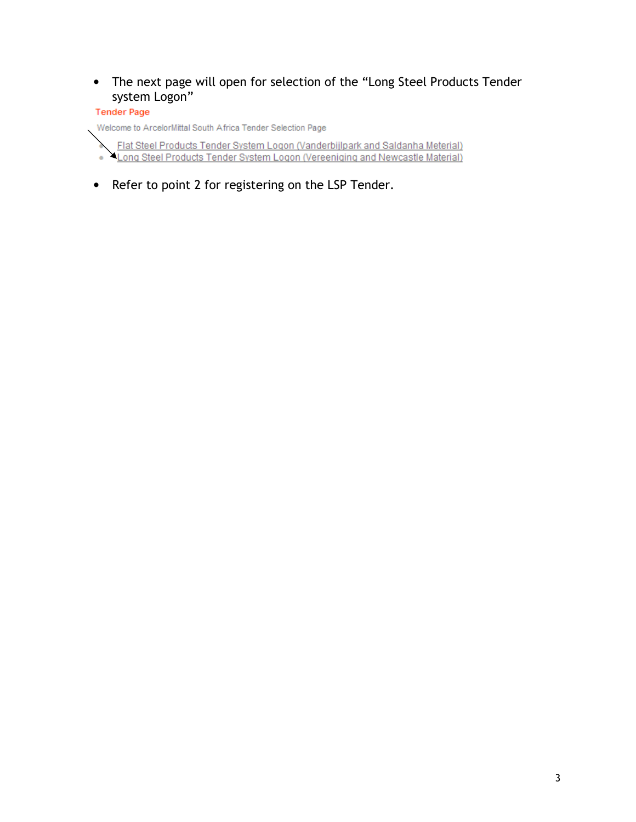• The next page will open for selection of the "Long Steel Products Tender system Logon"

#### **Tender Page**

Welcome to ArcelorMittal South Africa Tender Selection Page

- Flat Steel Products Tender System Logon (Vanderbijlpark and Saldanha Meterial)<br>Long Steel Products Tender System Logon (Vereeniging and Newcastle Material)
- Refer to point 2 for registering on the LSP Tender.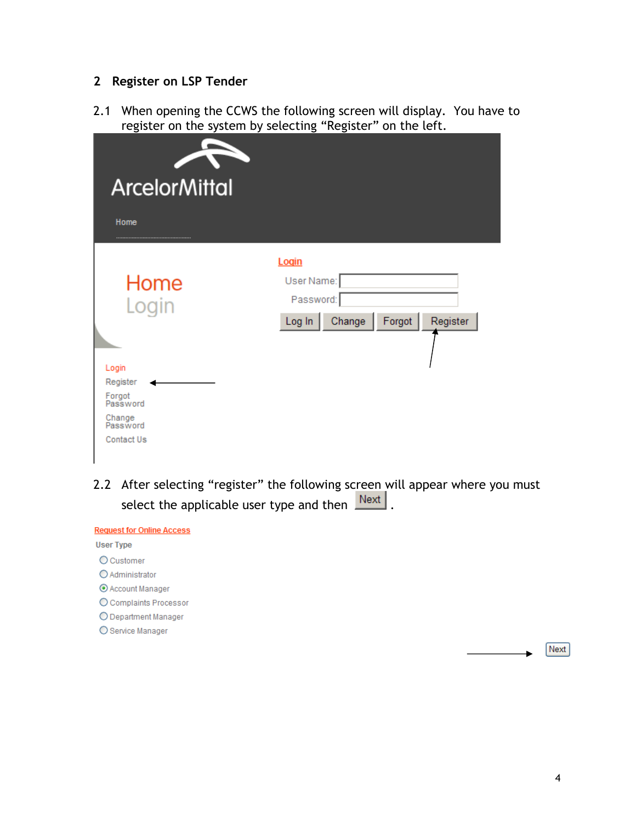### 2 Register on LSP Tender

2.1 When opening the CCWS the following screen will display. You have to register on the system by selecting "Register" on the left.

| <b>ArcelorMittal</b><br>Home |            |
|------------------------------|------------|
| Home                         | Login      |
| Login                        | User Name: |
| Login                        | Password:  |
| Register                     | Register   |
| Forgot<br>Password           | Forgot     |
| Change<br>Password           | Change     |
| <b>Contact Us</b>            | Log In     |

2.2 After selecting "register" the following screen will appear where you must select the applicable user type and then  $\sqrt{\frac{Next}{x}}$ .

| <b>Request for Online Access</b> |  |  |
|----------------------------------|--|--|
| <b>User Type</b>                 |  |  |
| O Customer                       |  |  |
| O Administrator                  |  |  |
| ⊙ Account Manager                |  |  |
| O Complaints Processor           |  |  |
| O Department Manager             |  |  |
| ○ Service Manager                |  |  |

Next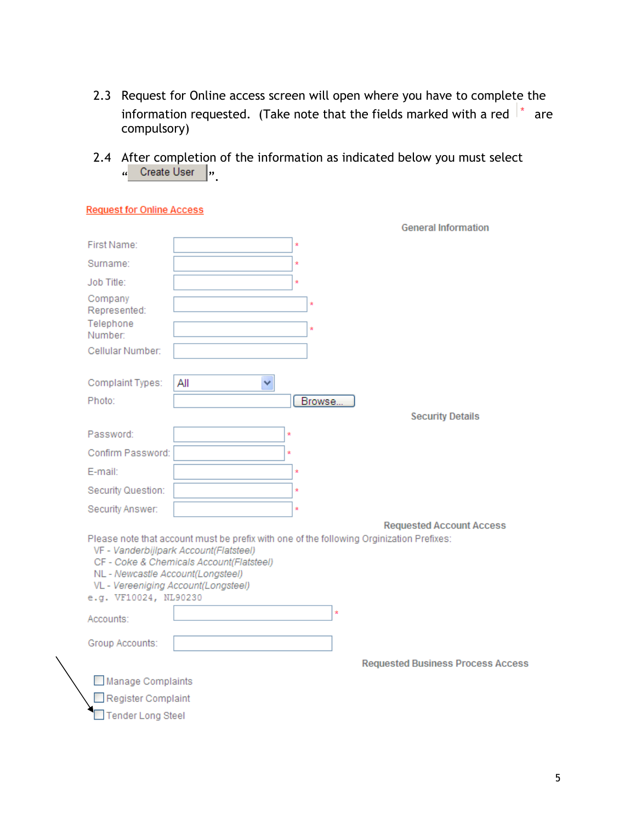- 2.3 Request for Online access screen will open where you have to complete the information requested. (Take note that the fields marked with a red  $\vert^*$  are compulsory)
- 2.4 After completion of the information as indicated below you must select  $\frac{u}{v}$  Create Oser  $\frac{v}{v}$ .

| <b>Request for Online Access</b>                                                                  |                                                                                                                                                                                |
|---------------------------------------------------------------------------------------------------|--------------------------------------------------------------------------------------------------------------------------------------------------------------------------------|
|                                                                                                   | <b>General Information</b>                                                                                                                                                     |
| First Name:                                                                                       | ×                                                                                                                                                                              |
| Surname:                                                                                          | ×                                                                                                                                                                              |
| Job Title:                                                                                        | ×,                                                                                                                                                                             |
| Company<br>Represented:                                                                           | ŵ                                                                                                                                                                              |
| Telephone<br>Number:                                                                              |                                                                                                                                                                                |
| Cellular Number:                                                                                  |                                                                                                                                                                                |
| Complaint Types:                                                                                  | All<br>v                                                                                                                                                                       |
| Photo:                                                                                            | Browse                                                                                                                                                                         |
|                                                                                                   | <b>Security Details</b>                                                                                                                                                        |
| Password:                                                                                         | ×                                                                                                                                                                              |
| Confirm Password:                                                                                 |                                                                                                                                                                                |
| E-mail:                                                                                           | ź                                                                                                                                                                              |
| Security Question:                                                                                | ×                                                                                                                                                                              |
| Security Answer:                                                                                  | ź                                                                                                                                                                              |
|                                                                                                   | <b>Requested Account Access</b>                                                                                                                                                |
| NL - Newcastle Account(Longsteel)<br>VL - Vereeniging Account(Longsteel)<br>e.g. VF10024, NL90230 | Please note that account must be prefix with one of the following Orginization Prefixes:<br>VF - Vanderbijlpark Account(Flatsteel)<br>CF - Coke & Chemicals Account(Flatsteel) |
| Accounts:                                                                                         |                                                                                                                                                                                |
| Group Accounts:                                                                                   |                                                                                                                                                                                |
|                                                                                                   | <b>Requested Business Process Access</b>                                                                                                                                       |
| Manage Complaints                                                                                 |                                                                                                                                                                                |
| Register Complaint                                                                                |                                                                                                                                                                                |
| <b>Tender Long Steel</b>                                                                          |                                                                                                                                                                                |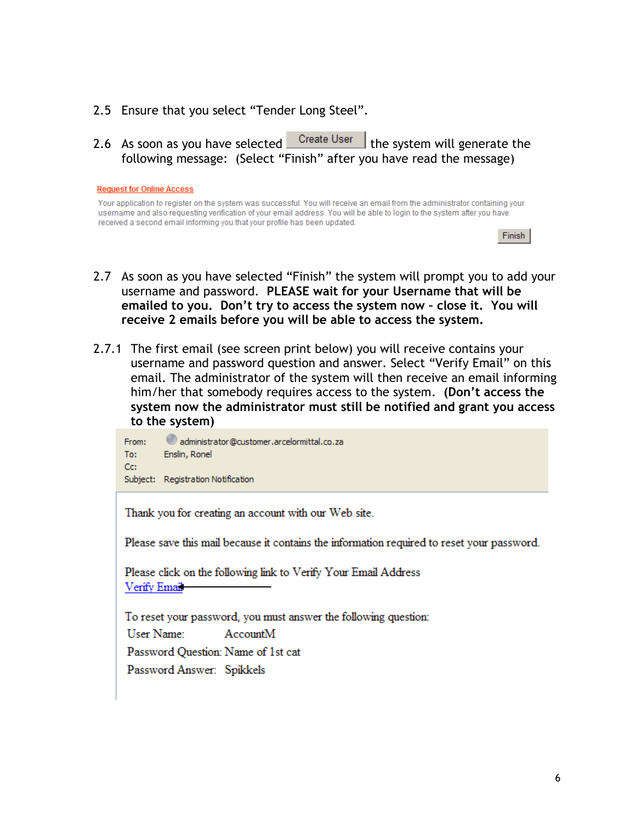- 2.5 Ensure that you select "Tender Long Steel".
- 2.6 As soon as you have selected Create User the system will generate the following message: (Select "Finish" after you have read the message)

|  |  |  | <b>Request for Online Access</b> |
|--|--|--|----------------------------------|
|--|--|--|----------------------------------|

Your application to register on the system was successful. You will receive an email from the administrator containing your username and also requesting verification of your email address. You will be able to login to the system after you have received a second email informing you that your profile has been updated.

|  | inis |  |
|--|------|--|
|  |      |  |

- 2.7 As soon as you have selected "Finish" the system will prompt you to add your username and password. PLEASE wait for your Username that will be emailed to you. Don't try to access the system now – close it. You will receive 2 emails before you will be able to access the system.
- 2.7.1 The first email (see screen print below) you will receive contains your username and password question and answer. Select "Verify Email" on this email. The administrator of the system will then receive an email informing him/her that somebody requires access to the system. (Don't access the system now the administrator must still be notified and grant you access to the system)

administrator@customer.arcelormittal.co.za From: To: Enslin, Ronel Cc: Subject: Registration Notification

Thank you for creating an account with our Web site.

Please save this mail because it contains the information required to reset your password.

Please click on the following link to Verify Your Email Address Verify Email

To reset your password, you must answer the following question: User Name: AccountM Password Question: Name of 1st cat Password Answer: Spikkels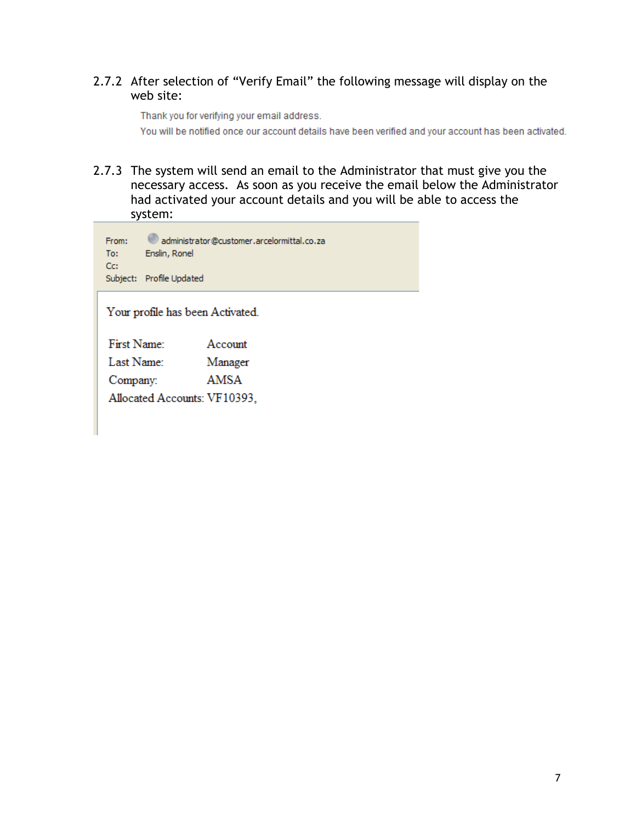## 2.7.2 After selection of "Verify Email" the following message will display on the web site:

Thank you for verifying your email address. You will be notified once our account details have been verified and your account has been activated.

2.7.3 The system will send an email to the Administrator that must give you the necessary access. As soon as you receive the email below the Administrator had activated your account details and you will be able to access the system:

| From:                            | administrator@customer.arcelormittal.co.za |  |  |  |  |  |
|----------------------------------|--------------------------------------------|--|--|--|--|--|
| To:                              | Enslin, Ronel                              |  |  |  |  |  |
| Cc:                              | Subject: Profile Updated                   |  |  |  |  |  |
| Your profile has been Activated. |                                            |  |  |  |  |  |

| First Name:                  | Account |
|------------------------------|---------|
| Last Name:                   | Manager |
| Company:                     | AMSA    |
| Allocated Accounts: VF10393, |         |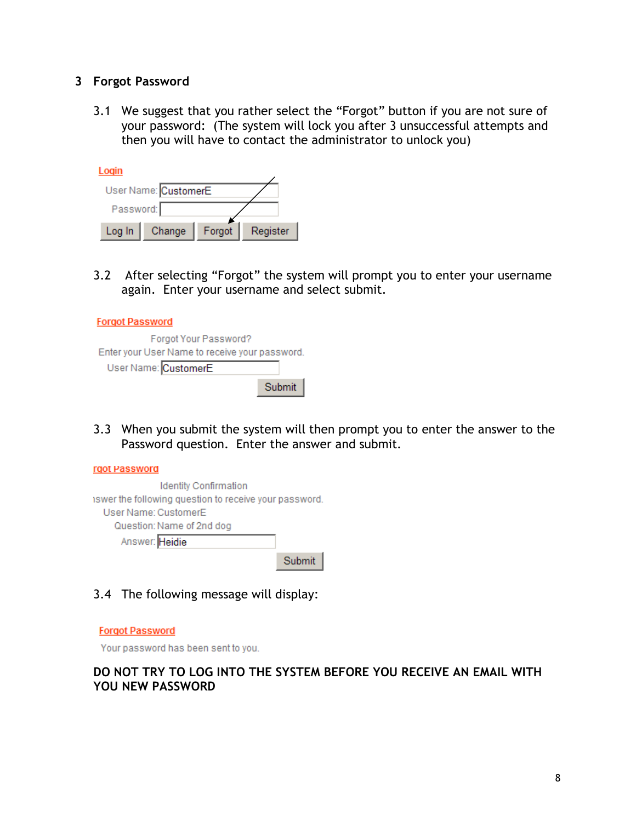#### 3 Forgot Password

3.1 We suggest that you rather select the "Forgot" button if you are not sure of your password: (The system will lock you after 3 unsuccessful attempts and then you will have to contact the administrator to unlock you)

| ogin                 |        |        |          |  |  |  |  |
|----------------------|--------|--------|----------|--|--|--|--|
| User Name: CustomerE |        |        |          |  |  |  |  |
| Password:            |        |        |          |  |  |  |  |
| Log In               | Change | Forgot | Register |  |  |  |  |

3.2 After selecting "Forgot" the system will prompt you to enter your username again. Enter your username and select submit.

### **Forgot Password**

| Forgot Your Password?                          |        |
|------------------------------------------------|--------|
| Enter your User Name to receive your password. |        |
| User Name: CustomerE                           |        |
|                                                | Submit |

3.3 When you submit the system will then prompt you to enter the answer to the Password question. Enter the answer and submit.



# 3.4 The following message will display:

#### **Forgot Password**

Your password has been sent to you.

#### DO NOT TRY TO LOG INTO THE SYSTEM BEFORE YOU RECEIVE AN EMAIL WITH YOU NEW PASSWORD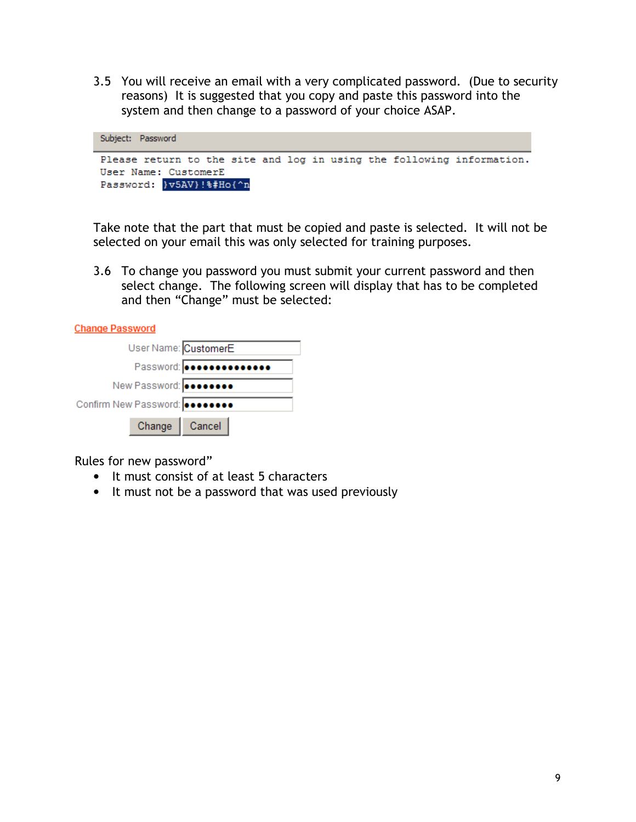3.5 You will receive an email with a very complicated password. (Due to security reasons) It is suggested that you copy and paste this password into the system and then change to a password of your choice ASAP.



Take note that the part that must be copied and paste is selected. It will not be selected on your email this was only selected for training purposes.

3.6 To change you password you must submit your current password and then select change. The following screen will display that has to be completed and then "Change" must be selected:

| <b>Change Password</b>         |  |
|--------------------------------|--|
| User Name: CustomerE           |  |
|                                |  |
| New Password: <b></b>          |  |
| Confirm New Password: 00000000 |  |
|                                |  |

Rules for new password"

Change

• It must consist of at least 5 characters

Cancel

• It must not be a password that was used previously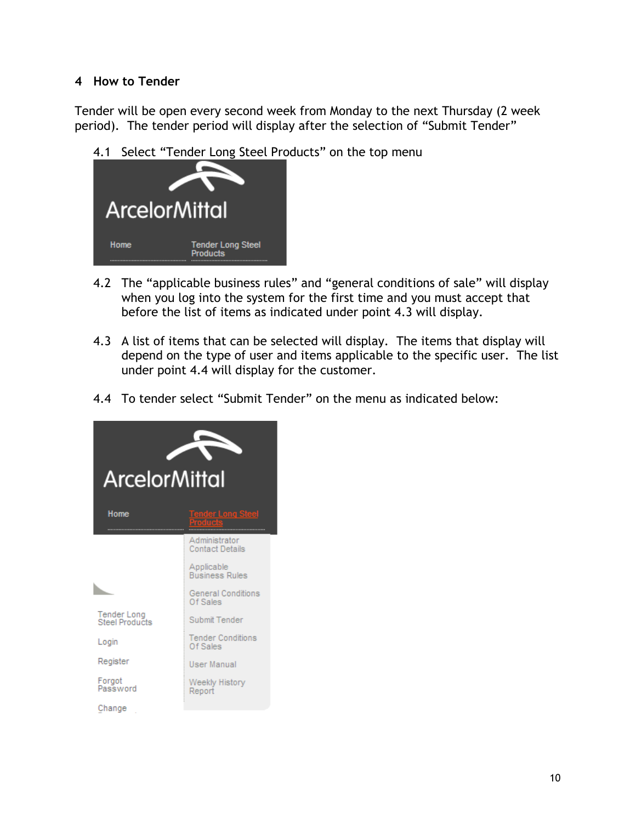### 4 How to Tender

Tender will be open every second week from Monday to the next Thursday (2 week period). The tender period will display after the selection of "Submit Tender"

4.1 Select "Tender Long Steel Products" on the top menu



- 4.2 The "applicable business rules" and "general conditions of sale" will display when you log into the system for the first time and you must accept that before the list of items as indicated under point 4.3 will display.
- 4.3 A list of items that can be selected will display. The items that display will depend on the type of user and items applicable to the specific user. The list under point 4.4 will display for the customer.
- 4.4 To tender select "Submit Tender" on the menu as indicated below:

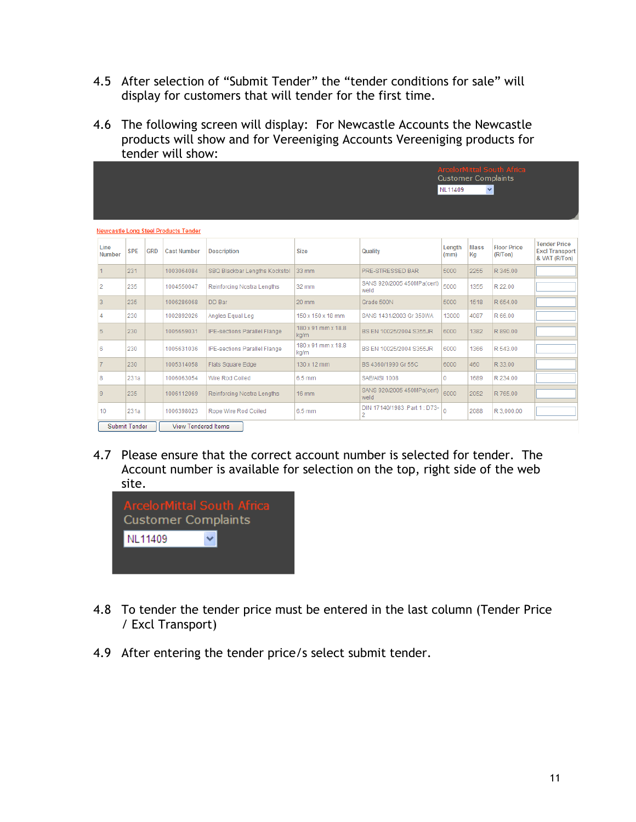- 4.5 After selection of "Submit Tender" the "tender conditions for sale" will display for customers that will tender for the first time.
- 4.6 The following screen will display: For Newcastle Accounts the Newcastle products will show and for Vereeniging Accounts Vereeniging products for tender will show:

|                                                                                                                                                                                                 | <b>ArcelorMittal South Africa</b><br><b>Customer Complaints</b><br>NL11409<br>$\checkmark$ |  |                                      |                                     |                            |                                    |       |      |            |                                                               |
|-------------------------------------------------------------------------------------------------------------------------------------------------------------------------------------------------|--------------------------------------------------------------------------------------------|--|--------------------------------------|-------------------------------------|----------------------------|------------------------------------|-------|------|------------|---------------------------------------------------------------|
|                                                                                                                                                                                                 |                                                                                            |  |                                      |                                     |                            |                                    |       |      |            |                                                               |
|                                                                                                                                                                                                 |                                                                                            |  | Newcastle Long Steel Products Tender |                                     |                            |                                    |       |      |            |                                                               |
| <b>Floor Price</b><br>Line<br>Length<br><b>Mass</b><br><b>SPE</b><br><b>GRD</b><br><b>Cast Number</b><br><b>Description</b><br>Quality<br><b>Size</b><br><b>Number</b><br>(R/Ton)<br>Kg<br>(mm) |                                                                                            |  |                                      |                                     |                            |                                    |       |      |            | <b>Tender Price</b><br><b>Excl Transport</b><br>& VAT (R/Ton) |
| 1                                                                                                                                                                                               | 231                                                                                        |  | 1003064084                           | SBQ Blackbar Lengths Kockstol       | 33 mm                      | PRE-STRESSED BAR                   | 5000  | 2255 | R 345.00   |                                                               |
| $\overline{2}$                                                                                                                                                                                  | 235                                                                                        |  | 1004550047                           | Reinforcing Nostra Lengths          | 32 mm                      | SANS 920/2005 450MPa(cert)<br>weld | 5000  | 1355 | R 22.00    |                                                               |
| 3                                                                                                                                                                                               | 235                                                                                        |  | 1006286068                           | DD Bar                              | 20 mm                      | Grade 500N                         | 5000  | 1518 | R 654.00   |                                                               |
|                                                                                                                                                                                                 | 230                                                                                        |  | 1002892026                           | Angles Equal Leg                    | 150 x 150 x 18 mm          | SANS 1431/2003 Gr 350WA            | 13000 | 4087 | R 66.00    |                                                               |
| 5                                                                                                                                                                                               | 230                                                                                        |  | 1005659031                           | IPE-sections Parallel Flange        | 180 x 91 mm x 18.8<br>ka/m | BS EN 10025/2004 S355JR            | 6000  | 1382 | R 890.00   |                                                               |
| 6                                                                                                                                                                                               | 230                                                                                        |  | 1005631036                           | <b>IPE-sections Parallel Flange</b> | 180 x 91 mm x 18.8<br>kg/m | BS EN 10025/2004 S355JR            | 6000  | 1366 | R 543.00   |                                                               |
|                                                                                                                                                                                                 | 230                                                                                        |  | 1005314058                           | Flats Square Edge                   | 130 x 12 mm                | BS 4360/1990 Gr 55C                | 6000  | 460  | R 33.00    |                                                               |
| 8                                                                                                                                                                                               | 231a                                                                                       |  | 1006063054                           | Wire Rod Coiled                     | 6.5 mm                     | SAE/AISI 1008                      | 0     | 1689 | R 234.00   |                                                               |
| $\overline{9}$                                                                                                                                                                                  | 235                                                                                        |  | 1006112069                           | Reinforcing Nostra Lengths          | 16 mm                      | SANS 920/2005 450MPa(cert)<br>weld | 6000  | 2052 | R 765.00   |                                                               |
| 10                                                                                                                                                                                              | 231a                                                                                       |  | 1006398023                           | Rope Wire Rod Coiled                | 6.5 mm                     | DIN 17140/1983 :Part 1: D73-<br>2  | 0     | 2088 | R 3,000.00 |                                                               |
|                                                                                                                                                                                                 | Submit Tender                                                                              |  | <b>View Tendered Items</b>           |                                     |                            |                                    |       |      |            |                                                               |

4.7 Please ensure that the correct account number is selected for tender. The Account number is available for selection on the top, right side of the web site.



- 4.8 To tender the tender price must be entered in the last column (Tender Price / Excl Transport)
- 4.9 After entering the tender price/s select submit tender.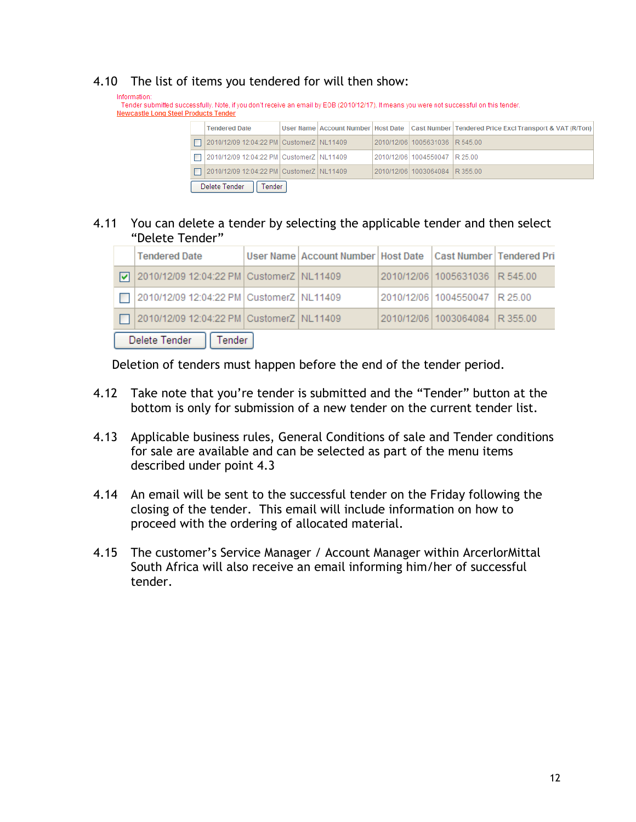### 4.10 The list of items you tendered for will then show:

Information: Tender submitted successfully. Note, if you don't receive an email by EOB (2010/12/17). It means you were not successful on this tender. **Newcastle Long Steel Products Tender** 

|                         | <b>Tendered Date</b>                       |  |  |  |                                | User Name   Account Number   Host Date   Cast Number   Tendered Price Excl Transport & VAT (R/Ton) |  |  |
|-------------------------|--------------------------------------------|--|--|--|--------------------------------|----------------------------------------------------------------------------------------------------|--|--|
|                         | □ 2010/12/09 12:04:22 PM CustomerZ NL11409 |  |  |  | 2010/12/06 1005631036 R 545.00 |                                                                                                    |  |  |
|                         | 2010/12/09 12:04:22 PM CustomerZ NL11409   |  |  |  | 2010/12/06 1004550047 R 25.00  |                                                                                                    |  |  |
|                         | □ 2010/12/09 12:04:22 PM CustomerZ NL11409 |  |  |  | 2010/12/06 1003064084 R 355.00 |                                                                                                    |  |  |
| Delete Tender<br>Tender |                                            |  |  |  |                                |                                                                                                    |  |  |

#### 4.11 You can delete a tender by selecting the applicable tender and then select "Delete Tender"

|                            | <b>Tendered Date</b>                         |  | User Name   Account Number   Host Date   Cast Number   Tendered Pri |  |                                |  |  |  |
|----------------------------|----------------------------------------------|--|---------------------------------------------------------------------|--|--------------------------------|--|--|--|
|                            | √ 2010/12/09 12:04:22 PM CustomerZ NL11409   |  |                                                                     |  | 2010/12/06 1005631036 R 545.00 |  |  |  |
|                            | □ 2010/12/09 12:04:22 PM CustomerZ   NL11409 |  |                                                                     |  | 2010/12/06 1004550047 R 25.00  |  |  |  |
|                            | □ 2010/12/09 12:04:22 PM CustomerZ NL11409   |  |                                                                     |  | 2010/12/06 1003064084 R 355.00 |  |  |  |
| Delete Tender<br>   Tender |                                              |  |                                                                     |  |                                |  |  |  |

Deletion of tenders must happen before the end of the tender period.

- 4.12 Take note that you're tender is submitted and the "Tender" button at the bottom is only for submission of a new tender on the current tender list.
- 4.13 Applicable business rules, General Conditions of sale and Tender conditions for sale are available and can be selected as part of the menu items described under point 4.3
- 4.14 An email will be sent to the successful tender on the Friday following the closing of the tender. This email will include information on how to proceed with the ordering of allocated material.
- 4.15 The customer's Service Manager / Account Manager within ArcerlorMittal South Africa will also receive an email informing him/her of successful tender.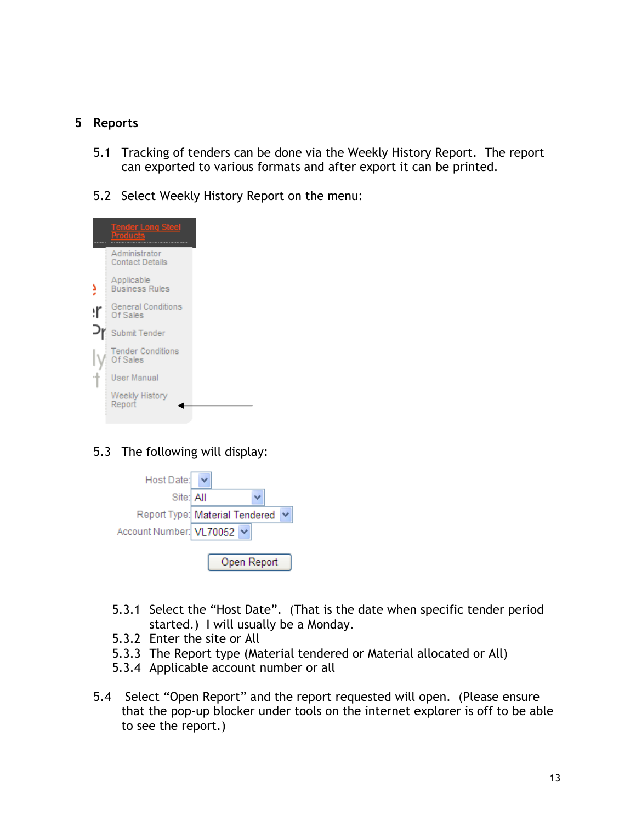## 5 Reports

- 5.1 Tracking of tenders can be done via the Weekly History Report. The report can exported to various formats and after export it can be printed.
- 5.2 Select Weekly History Report on the menu:



## 5.3 The following will display:

| Host Date:              |                                |             |  |  |  |  |
|-------------------------|--------------------------------|-------------|--|--|--|--|
| Site: All               |                                |             |  |  |  |  |
|                         | Report Type: Material Tendered |             |  |  |  |  |
| Account Number: VL70052 |                                |             |  |  |  |  |
|                         |                                | Open Report |  |  |  |  |

- 5.3.1 Select the "Host Date". (That is the date when specific tender period started.) I will usually be a Monday.
- 5.3.2 Enter the site or All
- 5.3.3 The Report type (Material tendered or Material allocated or All)
- 5.3.4 Applicable account number or all
- 5.4 Select "Open Report" and the report requested will open. (Please ensure that the pop-up blocker under tools on the internet explorer is off to be able to see the report.)